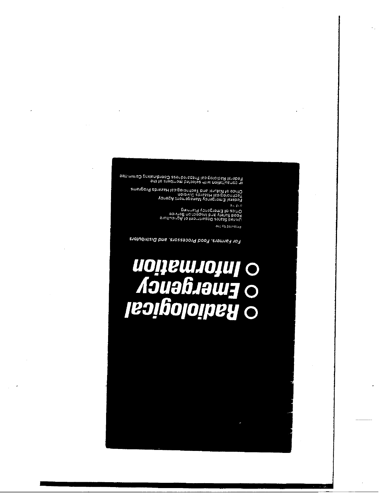in consultation with selected members of the<br>Federal Radiological Preparedness Coordinating Committee

Federal Emergency Management<br>Technological Hazards Division<br>Office of Natural and Technological Hazards Programs

 $\hat{\sigma}_{\rm eff}$  gives Office of Emergency Planning<br>Food Safety and Inspection Service<br>Pood Safety and Inspection Germent of Agriculture

au) Aq paredora

For Farmers, Food Processors, and Distributors

###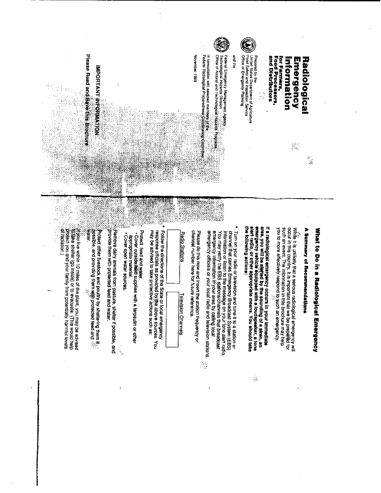

Ċ,

# What to Do in a Radiological Emergency

### A Summary of Recommendations

occur in this country, it is important that we be prepared for<br>such an event. The information in this brochure may help you to more effectively respond to such an emergency. While it is unlikely that a serious radiological emergency wil

If a radiological emergency occurs in your immediate<br>area, you will be alarged by the sounding of a siren, an<br>emergency vehicle equipped with a loudspeaker, a tone<br>energency vehicle equipped with a loudspeaker, a tone<br>and the following actions:

 $\mathbb{S}^2$ 

emergency information irř'yòur area by calilng local<br>emergency officials or your local radio and television stations. channel that carries Emergency Broadcast System (EBS) Turn on your radio or television and tune it to a station or You may verify the EBS stations/channels that broadcast Information or listen to the message on your tone alent radio

channel number here for future reference. Please do this now and insert the station frequency or

**Radio Stations** 

**Television Channels** 

may be advised to take protective actions such as: Follow the directions of the State or local emergency<br>response officials as provided by独e above sources. You

Protect feed and water.

• Cover outside sepplies with a tarpaulin or other appropriate material.

. Cover open water sources.

 $\frac{1}{\sqrt{2}}$ 

.Flemove dairy animals from pasture, shelter if possible, and<br>.provide them with protected feed and water.

ரிrotect other livestock and poultry by sheltering them it.<br>.<br>water.<br>water.

说的eshets (go inside) or to evacuate. (This would help Protect you and your family from potentially harmful levels Wou live within 10 miles of the plant, you may be advised

×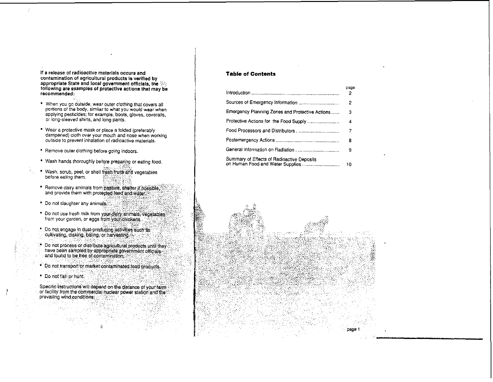If a release of radioactive materials occurs and contamination of agricultural products is verified by appropriate State and local government officials, the following are examples of protective actions that may be recommended:

- . When you go outside, wear outer clothing that covers all portions of the body, similar to what you would wear when applying pesticides; for example, boots, gloves, coveralls, or long-sleeved shirts, and long pants.
- . Wear a protective mask or place a folded (preferably dampened) cloth over your mouth and nose when working outside to prevent inhalation of radioactive materials.
- \* Remove outer clothing before going indoors.
- . Wash hands thoroughly before preparing or eating food.
- . Wash, scrub, peel, or shell fresh fruits and vegetables before eating them.
- · Remove dairy animals from pasture, shelter if possible. and provide them with protected teed and water.
- \* Do not slaughter any animals
- \* Do not use fresh milk from your dairy animals, vegetables from your garden, or eggs from your chickens.
- . Do hot engage in dust-producing activities such as<br>cultivating, disking, baling, or harvesting
- Do not process or distribute agricultural products until they<br>have been sampled by appropriate government officials and found to be free of contamination.
- · Do not transport or market contaminated tood products.
- \* Do not fish or hunt.

Specific instructions will depend on the distance of your farm or facility from the commercial nuclear power station and the prevailing wind conditions:

### **Table of Contents**

|                                                 | page<br>2 |
|-------------------------------------------------|-----------|
|                                                 | 2         |
| Emergency Planning Zones and Protective Actions | з         |
| Protective Actions for the Food Supply          | 4         |
|                                                 | - 7       |
|                                                 | 8         |
|                                                 | 9         |
| Summary of Effects of Radioactive Deposits      | 10        |

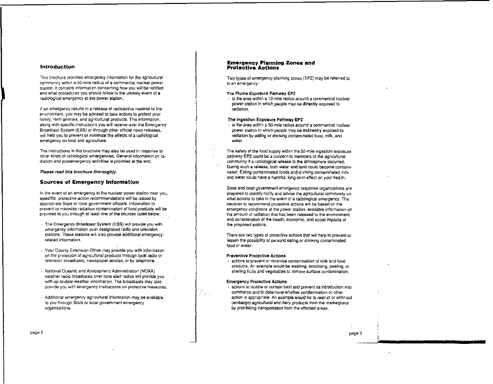### **Introduction**

This brochure provides emergency information for the agricultural community within a 50-mile radius of a commercial nuclear power. station. It contains information concerning how you will be notified and what procedures you should follow in the unlikely event of a radiological emergency at the power station.

If an emergency results in a release of radioactive material to the environment, you may be advised to take actions to protect your family, farm animals, and agricultural products. This information, along with specific instructions you will receive over the Emergency Broadcast System (EBS) or through other official news releases, will help you to prevent or minimize the effects of a radiological emergency on food and agriculture.

The instructions in this brochure may also be used in response to other kinds of radiological emergencies. General information on radiation and postemergency activities is provided at the end.

Please read this brochure thoroughly.

### **Sources of Emergency Information**

In the event of an emergency at the nuclear power station near you, specific protective action recommendations will be issued by appropriate State or local government officials. Information to prevent or minimize radiation contamination of food products will be provided to you through at least one of the sources listed below:

- The Emergency Broadcast System (EBS) will provide you with emergency information over designated radio and television stations. These stations will also provide additional emergencyrelated information.
- Your County Extension Office may provide you with information on the protection of agricultural products through local radio or television broadcasts, newspaper articles, or by telephone.
- National Oceanic and Atmospheric Administration (NOAA) weather radio broadcasts over tone alert radios will provide you with up-to-date weather information. The broadcasts may also provide you with emergency instructions on protective measures.
- Additional emergency agricultural information may be available to you through State or local government emergency organizations.

### **Emergency Planning Zones and Protective Actions**

Two types of emergency planning zones (EPZ) may be referred to in an emergency:

### The Plume Exposure Pathway EPZ

- is the area within a 10-mile radius around a commercial nuclear power station in which people may be directly exposed to radiation.

### The Ingestion Exposure Pathway EPZ

光图

- is the area within a 50-mile radius around a commercial nuclear power station in which papple may be indirectly exposed to radiation by eating or drinking contaminated food, milk, and water.

The safety of the food supply within the 50-mile incestion exposure pathway EPZ could be a concern to members of the acricultural community if a radiological release to the atmosphere occurred. During such a release, both water and land could become contaminated. Eating contaminated foods and drinking contaminated milk and water could have a harmful, long-term effect on your health.

State and local government emergency response organizations are prepared to quickly notify and advise the apricultural community on what actions to take in the event of a radiological emergency. The decision to recommend protective actions will be based on the emergency conditions at the power station, available information on the amount of radiation that has been released to the environment. and consideration of the health, economic, and social impacts of the proposed actions.

There are two types of protective actions that will help to prevent or lessen the possibility of persons eating or drinking contaminated food or water:

### **Preventive Protective Actions**

- actions to prevent or minimize contamination of milk and food products. An example would be washing, scrubbing, peeling, or shelling fruits and vegetables to remove surface contamination.

### **Emergency Protective Actions**

- actions to isolate or contain food and prevent its introduction into commerce and to determine whether condemnation or other action is appropriate. An example would be to restrict or withhold (embargo) agricultural and dairy products from the marketplace by prohibiting transportation from the affected areas.

page 3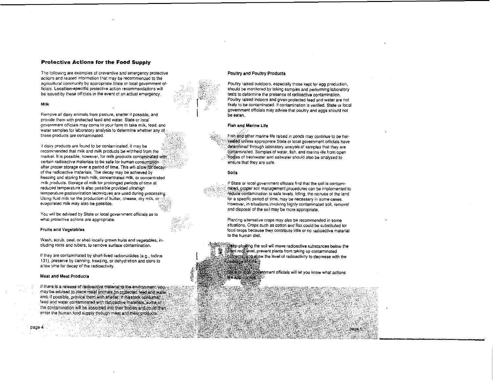### **Protective Actions for the Food Supply**

The following are examples of preventive and emergency protective actions and related information that may be recommended to the agricultural community by appropriate State or local government officials. Location-specific protective action recommendations will be issued by these officials in the event of an actual emergency.

### Milk

Remove all dairy animals from pasture, shelter if possible, and provide them with protected feed and water. State or local government officials may come to your farm to take milk, feed, and water samples for laboratory analysis to determine whether any of these products are contaminated.

If dairy products are found to be contaminated, it may be recommended that milk and milk products be withheld from the market. It is possible, however, for milk products contaminated with certain radioactive materials to be safe for human consumption after proper storage over a period of time. This will allow for decay. of the radioactive materials. The decay may be achieved by freezing and storing fresh milk, concentrated milk, or concentrated milk products. Storage of milk for prolonged periods of time at reduced temperature is also possible provided ultrahigh temperature pasteurization techniques are used durino processing. Using fluid milk for the production of butter, cheese, dry milk, or evaporated milk may also be possible.

You will be advised by State or local government officials as to what protective actions are appropriate.

### **Fruits and Vegetables**

Wash, scrub, peel, or shell locally grown fruits and vegetables, including roots and tubers, to remove surface contamination.

if they are contaminated by short-lived radionuclides (e.g., todine 131), preserve by canning, freezing, or dehydration and store to allow time for decay of the radioactivity.

### **Meat and Meat Products**

page 4

If there is a release of radioactive material to the environment. vousmay be advised to place meat animals on protected feed and water and, if possible, provide them with shelter. If livestock consume. feed and water contaminated with radioactive materials, some of the contamination will be absorbed into their bodies and could then. enter the human food supply through meat and meat products.

### Poultry and Poultry Products

Poultry raised outdoors, especially those kept for egg production, should be monitored by taking samples and performing laboratory tests to determine the presence of radioactive contamination. Poultry raised indoors and given protected feed and water are not likely to be contaminated. If contamination is verified. State or local government officials may advise that poultry and eggs should not be eaten.

### Fish and Marine Life

Fish and other marine life raised in ponds may continue to be harvested unless appropriate State or local government officials have determined through laboratory analysis of samples that they are contaminated. Samples of water, fish, and marine life from open bodies of freshwater and saltwater should also be analyzed to ensure that they are safe.

### Soils

If State or local government officials find that the soil is contamihâted, proper soil management procedures can be implemented to reduce contamination to safe levels. Idling, the nonuse of the land for a specific period of time, may be necessary in some cases. However, in situations involving highly contaminated soil, removal and disposal of the soil may be more appropriate.

Planting alternative crops may also be recommended in some situations. Crops such as cotton and flax could be substituted for food crops because they contribute little or no radioactive material to the human diet.

Deep-plowing the soil will move radioactive substances below the plant roof level, prevent plants from taking up contaminated hiltrients and allow the level of radioactivity to decrease with the passage claime.

State of ecal government officials will let you know what actions are appropriate.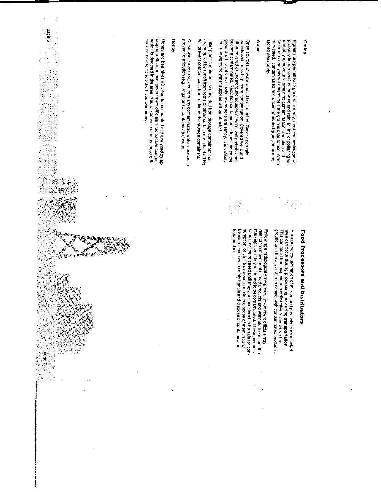### Grains

stored separately. harvested, contaminated and uncontaminated grains should be probably remove any remaining contamination. Sampling and If grains are permitted to grow to maturity, most contamination will laboratory analysis will determine if the grain is safe to use. When probably be removed by the wind and rain. Milling or polishing will

### Water

ground will travel very slowly unless soils are sandy. It is unitkely become contaminated. Radiation contaminants deposited on the other covered or underground sources of water will probably not Open sources of water should be protected. Cover open rain that underground water supplies will be affected. barrels and tanks to prevent contamination. Covered wells and

will prevent contaminants from entering the storage containers. are supplied by runoff from roofs or other surface drain fields. This Filler pipes should be disconnected from storage containers that

prevent distribution (e.g., irrigation) of contaminated water. Glose water intake valves from any contaminated water sources to

### Honey

propriate State or local government officials if radioactive contamicials on how to handle the hives and honey. nation is detected in the area. You will be instructed by these off-Honey and bee hives will need to be sampled and analyzed by ap

ś

page 6

÷,

美國

ż,

 $100077$ 精神感染

in<br>1979<br>198

## Food Processors and Distributors

ground or in the air, and from contact with contaminated products Radioactive contamination of milk or food products in an attected area can occur **during processing, or during transportation.**<br>This can result from exposure to radioactive materials on the

 $\frac{3}{2}$ 

should not be released until they are considered to be safe for con-<br>sumption, or until a decision is made to dispose of them. You will restrict the movement of food products and withhold them from the food products. Foilowing a radiological emergency, government officials may be instructed how to safely handle and dispose of contaminated marketplace if they are found to be contaminated. These products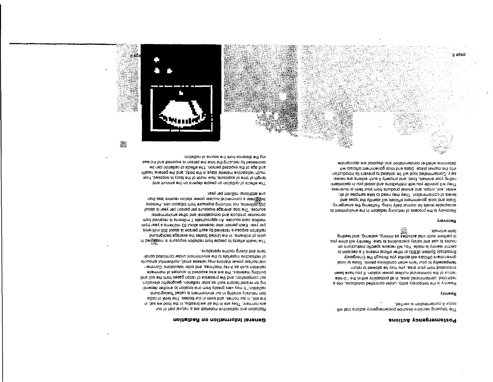### Postemergency Actions

coour if contamination is verified. The following sections describe postemergency actions that will

### **Anueau**

is religion and the settle of the reduction watering. British the problem grading rontes to use and safety precautions to take. Heentry will allow you permit reentry is made. You will receive specific instructions on Broadcast System (EBS) or other official means it a decision to dovernment officials will advise you through the Emergency termporarily to your farm when conditions permit. State or local evacuated from your area, you may be allowed to return. radius of the commercial nuclear power station. If you have been restricted, contaminated area, in all probability within the 10-mile Reentry is the temporary entry, under controlled conditions, into a

### Бессием

g abed

determine whether condemnation and disposal are appropriate. into the market place. State and local government officials will Containment of persise it and the seried to prevent its introduction. usting your animate, rood, and property it such actions are neces-They will provide you with instructions and assist you in decontamiwater, soil, crops, and animal products from your farm or business. levels of contamination. They may need to take samples of air, Siate and local government officials will identify the types and acceptable levels for normal daily living. Following the emergency, of themnonivne entirul notifields galaxies to associated at a vision of

ing the distance from the source of radiation.

one additional millim isnotibbs eno-

reus suo antiog ronnine operations.

decreased by reducing the tine the person is exposed and increas-

much radioactive material stays in the body, and the general health

length of time of exposure, how much of the body is exposed, how

ad nas notialbas to atsette eriT incertain frequencies of radiation can be

The shuoms of radiation on people algoed and model in the shuoms and

livtiggrear a commercial nuclear power station receive less than

suosia, iniueura uor including exposure trom topacco use. Persons

zonices: The total average exposure per person per year is about

per year. Each person also receives about 53 millinems a year from radiation exposure received by each person is about 300 millinems

The health eftects to people from radiation exposure is measured in

-ibnoo beliotinoo tebnu inemnotivne ent of alaiteism evitosoibst to

cial nuclear power stations may release small, nonharmlul amounts

soil composition, and the presence of radori gases from me soil and

ing on related factors such as solar radiation, geographic elevation,

radiation." It may vary greatly from one location to another dependpunotgxped" belles ei fnemnotivne fuo ni gnitexs ylleturen noit

-sibst to level edT (zeibod not ni neve bns , zemon tuo ni ,lios edt environment. They are in the air we breathe, in the food we eat, in

Radiation and radioactive materials are a natural part of our

General Information on Radiation

radiation such as X-ray machines, and color televisions. Commer-

building materials. We are also exposed to sources of manimade

cousniuer products and occupational and other environmental moti bevieces An approximate / milliments is received from

units of millinems. In the United States the average background



瀔